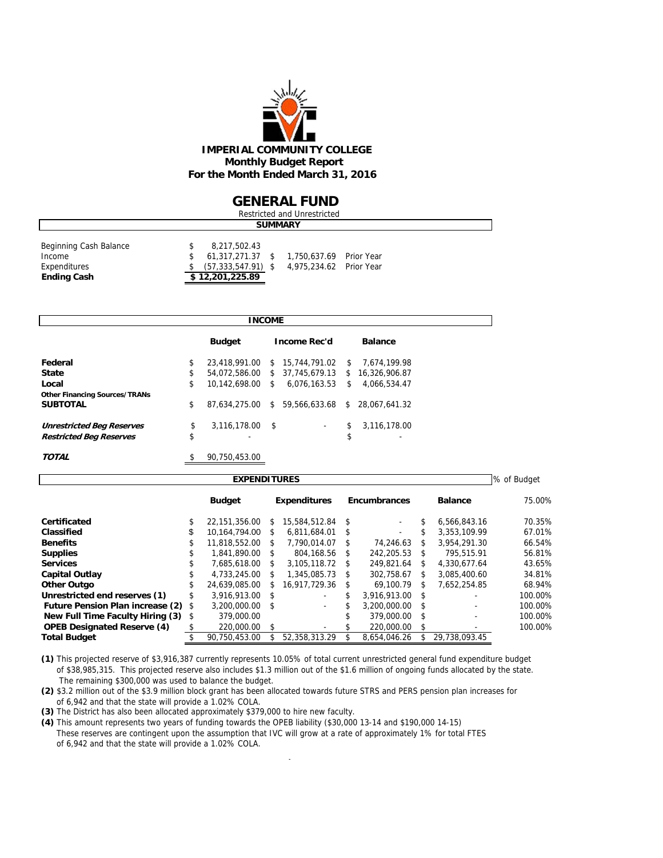

#### **GENERAL FUND**

| Restricted and Unrestricted                                            |  |                                                                               |  |                                                    |  |  |  |  |  |
|------------------------------------------------------------------------|--|-------------------------------------------------------------------------------|--|----------------------------------------------------|--|--|--|--|--|
|                                                                        |  |                                                                               |  | <b>SUMMARY</b>                                     |  |  |  |  |  |
| Beginning Cash Balance<br>Income<br>Expenditures<br><b>Ending Cash</b> |  | 8,217,502.43<br>61.317.271.37 \$<br>$(57, 333, 547.91)$ \$<br>\$12,201,225.89 |  | 1,750,637.69 Prior Year<br>4,975,234.62 Prior Year |  |  |  |  |  |

|                                      | <b>INCOME</b>         |    |                                |     |                |
|--------------------------------------|-----------------------|----|--------------------------------|-----|----------------|
|                                      | <b>Budget</b>         |    | Income Rec'd                   |     | <b>Balance</b> |
| Federal                              | \$<br>23.418.991.00   |    | \$ 15,744,791.02               | \$. | 7.674.199.98   |
| <b>State</b>                         | \$<br>54,072,586.00   |    | \$ 37,745,679.13               | s.  | 16,326,906.87  |
| Local                                | \$<br>10.142.698.00   | s. | 6,076,163.53                   | \$  | 4,066,534.47   |
| <b>Other Financing Sources/TRANs</b> |                       |    |                                |     |                |
| <b>SUBTOTAL</b>                      | \$                    |    | 87.634.275.00 \$ 59.566.633.68 | \$  | 28.067.641.32  |
| <b>Unrestricted Beg Reserves</b>     | \$<br>3,116,178.00 \$ |    | ۰                              | \$  | 3.116.178.00   |
| <b>Restricted Beg Reserves</b>       | \$<br>-               |    |                                | \$  | -              |
| <b>TOTAL</b>                         | \$<br>90.750.453.00   |    |                                |     |                |

| <b>EXPENDITURES</b>                     |               |               |      |                     |    |                     |      |                          |         |  |  |  |  |
|-----------------------------------------|---------------|---------------|------|---------------------|----|---------------------|------|--------------------------|---------|--|--|--|--|
|                                         | <b>Budget</b> |               |      | <b>Expenditures</b> |    | <b>Encumbrances</b> |      | <b>Balance</b>           | 75.00%  |  |  |  |  |
| Certificated                            |               | 22.151.356.00 | \$.  | 15,584,512.84       | \$ |                     |      | 6.566.843.16             | 70.35%  |  |  |  |  |
| Classified                              | \$            | 10.164.794.00 | \$   | 6.811.684.01        | \$ | $\sim$              | \$.  | 3.353.109.99             | 67.01%  |  |  |  |  |
| <b>Benefits</b>                         | \$            | 11.818.552.00 | S.   | 7.790.014.07        | S  | 74.246.63           | S    | 3.954.291.30             | 66.54%  |  |  |  |  |
| <b>Supplies</b>                         | S             | 1.841.890.00  | S    | 804.168.56          | S  | 242.205.53          | \$   | 795.515.91               | 56.81%  |  |  |  |  |
| <b>Services</b>                         |               | 7.685.618.00  | \$   | 3.105.118.72        | Ŝ. | 249.821.64          | \$   | 4.330.677.64             | 43.65%  |  |  |  |  |
| <b>Capital Outlay</b>                   |               | 4.733.245.00  | \$   | 1,345,085.73        | \$ | 302.758.67          | \$   | 3.085.400.60             | 34.81%  |  |  |  |  |
| <b>Other Outgo</b>                      | \$            | 24.639.085.00 | S    | 16.917.729.36       | S  | 69.100.79           | S    | 7.652.254.85             | 68.94%  |  |  |  |  |
| Unrestricted end reserves (1)           |               | 3.916.913.00  | - \$ |                     |    | 3.916.913.00        | - \$ |                          | 100.00% |  |  |  |  |
| <b>Future Pension Plan increase (2)</b> | \$            | 3.200.000.00  | - \$ | ٠                   |    | 3.200.000.00        | -S   |                          | 100.00% |  |  |  |  |
| New Full Time Faculty Hiring (3)        | \$            | 379,000.00    |      |                     |    | 379,000.00          | \$   | $\overline{\phantom{0}}$ | 100.00% |  |  |  |  |
| <b>OPEB Designated Reserve (4)</b>      |               | 220,000.00    | \$.  |                     |    | 220,000.00          | \$   |                          | 100.00% |  |  |  |  |
| <b>Total Budget</b>                     |               | 90.750.453.00 |      | 52.358.313.29       |    | 8.654.046.26        |      | 29.738.093.45            |         |  |  |  |  |

**(1)** This projected reserve of \$3,916,387 currently represents 10.05% of total current unrestricted general fund expenditure budget of \$38,985,315. This projected reserve also includes \$1.3 million out of the \$1.6 million of ongoing funds allocated by the state. The remaining \$300,000 was used to balance the budget.

**(2)** \$3.2 million out of the \$3.9 million block grant has been allocated towards future STRS and PERS pension plan increases for of 6,942 and that the state will provide a 1.02% COLA.

**(3)** The District has also been allocated approximately \$379,000 to hire new faculty.

**(4)** This amount represents two years of funding towards the OPEB liability (\$30,000 13-14 and \$190,000 14-15) These reserves are contingent upon the assumption that IVC will grow at a rate of approximately 1% for total FTES of 6,942 and that the state will provide a 1.02% COLA.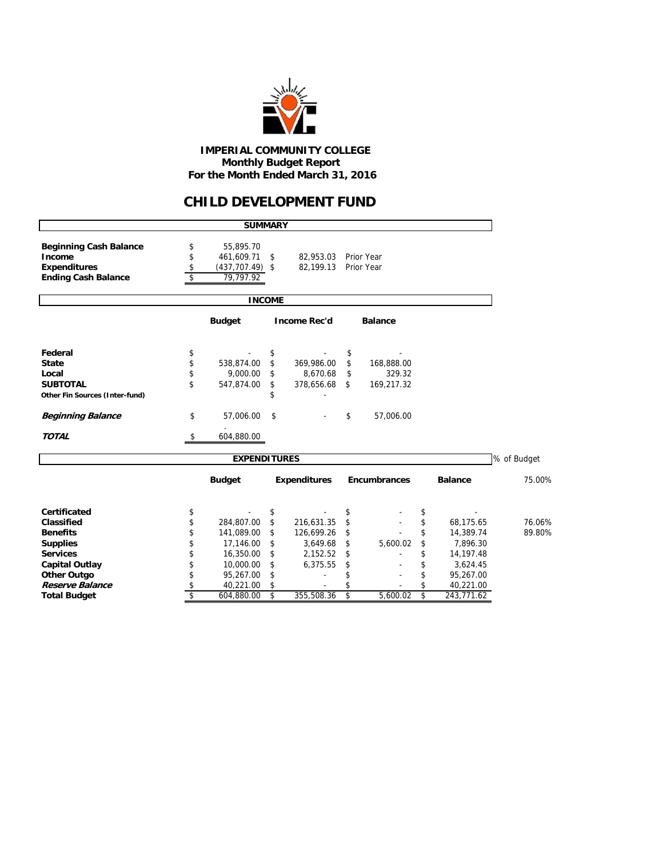

 **IMPERIAL COMMUNITY COLLEGE Monthly Budget Report For the Month Ended March 31, 2016**

## **CHILD DEVELOPMENT FUND**

|                                | <b>SUMMARY</b>           |               |                     |                     |                   |             |
|--------------------------------|--------------------------|---------------|---------------------|---------------------|-------------------|-------------|
| <b>Beginning Cash Balance</b>  | \$<br>55,895.70          |               |                     |                     |                   |             |
| Income                         | \$<br>461,609.71         | \$            | 82,953.03           | Prior Year          |                   |             |
| <b>Expenditures</b>            | \$<br>$(437, 707.49)$ \$ |               | 82.199.13           | Prior Year          |                   |             |
| <b>Ending Cash Balance</b>     | \$<br>79,797.92          |               |                     |                     |                   |             |
|                                |                          | <b>INCOME</b> |                     |                     |                   |             |
|                                | <b>Budget</b>            |               | <b>Income Rec'd</b> | <b>Balance</b>      |                   |             |
| Federal                        | \$                       | \$            |                     | \$                  |                   |             |
| <b>State</b>                   | \$<br>538.874.00         | \$            | 369,986.00          | \$<br>168,888.00    |                   |             |
| Local                          | \$<br>9.000.00           | \$            | 8,670.68            | \$<br>329.32        |                   |             |
| <b>SUBTOTAL</b>                | \$<br>547,874.00         | \$            | 378,656.68          | \$<br>169,217.32    |                   |             |
| Other Fin Sources (Inter-fund) |                          | \$            |                     |                     |                   |             |
| <b>Beginning Balance</b>       | \$<br>57,006.00          | \$            |                     | \$<br>57,006.00     |                   |             |
| <b>TOTAL</b>                   | \$<br>604,880.00         |               |                     |                     |                   |             |
|                                | <b>EXPENDITURES</b>      |               |                     |                     |                   | % of Budget |
|                                | <b>Budget</b>            |               | <b>Expenditures</b> | <b>Encumbrances</b> | <b>Balance</b>    | 75.00%      |
| Certificated                   | \$                       | \$            |                     | \$                  | \$                |             |
| Classified                     | \$<br>284,807.00         | \$            | 216,631.35          | \$                  | \$<br>68,175.65   | 76.06%      |
| <b>Benefits</b>                | \$<br>141,089.00         | \$            | 126,699.26          | \$                  | \$<br>14,389.74   | 89.80%      |
| <b>Supplies</b>                | \$<br>17,146.00          | \$            | 3,649.68            | \$<br>5,600.02      | \$<br>7,896.30    |             |
| <b>Services</b>                | \$<br>16,350.00          | \$            | 2,152.52            | \$                  | \$<br>14, 197. 48 |             |
| <b>Capital Outlay</b>          | \$<br>10,000.00          | \$            | 6,375.55            | \$                  | \$<br>3,624.45    |             |
| <b>Other Outgo</b>             | \$<br>95,267.00          | \$            |                     | \$                  | \$<br>95,267.00   |             |
| Reserve Balance                | \$<br>40,221.00          | \$            |                     |                     | \$<br>40,221.00   |             |
| <b>Total Budget</b>            | \$<br>604,880.00         | \$            | 355,508.36          | \$<br>5.600.02      | \$<br>243,771.62  |             |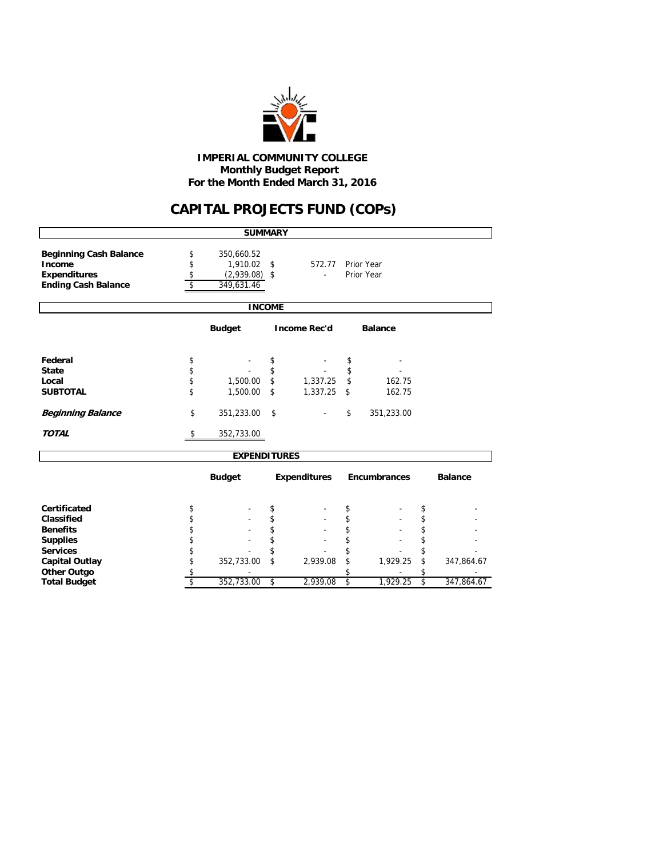

#### **Monthly Budget Report For the Month Ended March 31, 2016 IMPERIAL COMMUNITY COLLEGE**

## **CAPITAL PROJECTS FUND (COPs)**

|                                                                                              |                      | <b>SUMMARY</b>                                          |                     |                          |                  |
|----------------------------------------------------------------------------------------------|----------------------|---------------------------------------------------------|---------------------|--------------------------|------------------|
| <b>Beginning Cash Balance</b><br>Income<br><b>Expenditures</b><br><b>Ending Cash Balance</b> | \$<br>\$<br>\$<br>\$ | 350,660.52<br>1,910.02<br>$(2,939.08)$ \$<br>349,631.46 | \$<br>572.77        | Prior Year<br>Prior Year |                  |
|                                                                                              |                      | <b>INCOME</b>                                           |                     |                          |                  |
|                                                                                              |                      | <b>Budget</b>                                           | <b>Income Rec'd</b> | <b>Balance</b>           |                  |
| Federal                                                                                      | \$                   |                                                         | \$                  | \$                       |                  |
| <b>State</b>                                                                                 | \$                   |                                                         | \$                  | \$                       |                  |
| Local                                                                                        | \$                   | 1,500.00                                                | \$<br>1,337.25      | \$<br>162.75             |                  |
| <b>SUBTOTAL</b>                                                                              | \$                   | 1,500.00                                                | \$<br>1,337.25      | \$<br>162.75             |                  |
| <b>Beginning Balance</b>                                                                     | \$                   | 351,233.00                                              | \$                  | \$<br>351,233.00         |                  |
| <b>TOTAL</b>                                                                                 | \$                   | 352,733.00                                              |                     |                          |                  |
|                                                                                              |                      | <b>EXPENDITURES</b>                                     |                     |                          |                  |
|                                                                                              |                      | <b>Budget</b>                                           | <b>Expenditures</b> | <b>Encumbrances</b>      | <b>Balance</b>   |
| Certificated                                                                                 | \$                   |                                                         | \$                  | \$                       | \$               |
| Classified                                                                                   | \$                   |                                                         | \$                  | \$                       | \$               |
| <b>Benefits</b>                                                                              | \$                   |                                                         | \$                  | \$                       | \$               |
| <b>Supplies</b>                                                                              | \$                   |                                                         | \$                  | \$                       | \$               |
| <b>Services</b>                                                                              | \$                   |                                                         | \$                  | \$                       | \$               |
| <b>Capital Outlay</b>                                                                        | \$                   | 352,733.00                                              | \$<br>2,939.08      | \$<br>1,929.25           | \$<br>347,864.67 |
| <b>Other Outgo</b>                                                                           | \$                   |                                                         |                     | \$                       | \$               |
| <b>Total Budget</b>                                                                          | \$                   | 352,733.00                                              | \$<br>2,939.08      | \$<br>1,929.25           | \$<br>347,864.67 |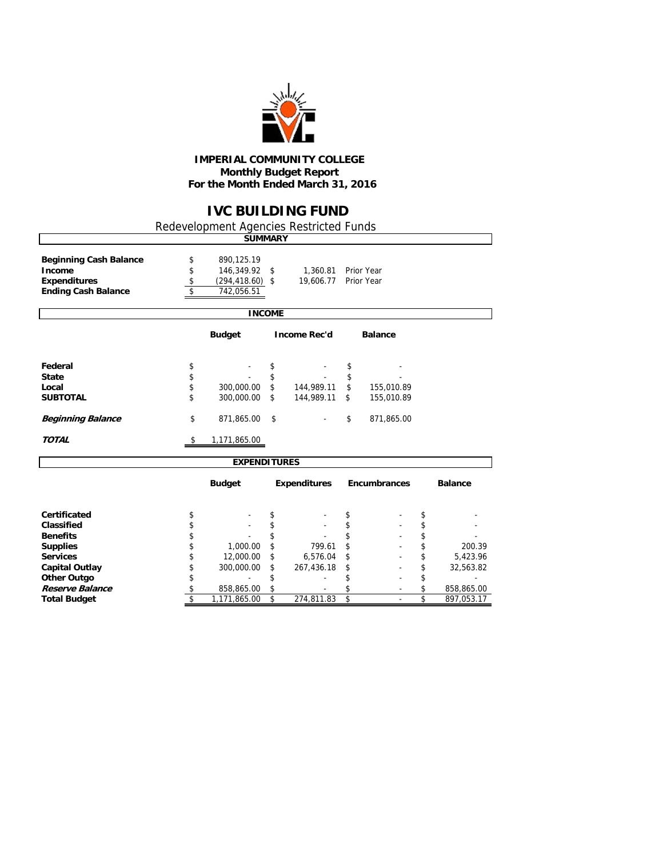

#### **IMPERIAL COMMUNITY COLLEGE Monthly Budget Report For the Month Ended March 31, 2016**

## **IVC BUILDING FUND**

Redevelopment Agencies Restricted Funds

|                                         |                               | <b>SUMMARY</b>           |               |                     |                     |                 |
|-----------------------------------------|-------------------------------|--------------------------|---------------|---------------------|---------------------|-----------------|
| <b>Beginning Cash Balance</b><br>Income | \$<br>\$                      | 890,125.19<br>146,349.92 | \$            | 1,360.81            | Prior Year          |                 |
| <b>Expenditures</b>                     | \$<br>$\overline{\mathsf{s}}$ | $(294, 418.60)$ \$       |               | 19,606.77           | Prior Year          |                 |
| <b>Ending Cash Balance</b>              |                               | 742,056.51               |               |                     |                     |                 |
|                                         |                               |                          | <b>INCOME</b> |                     |                     |                 |
|                                         |                               | <b>Budget</b>            |               | <b>Income Rec'd</b> | <b>Balance</b>      |                 |
| Federal                                 | \$                            |                          | \$            |                     | \$                  |                 |
| <b>State</b>                            | \$                            |                          | \$            |                     | \$                  |                 |
| Local                                   | \$                            | 300,000.00               | \$            | 144,989.11          | \$<br>155,010.89    |                 |
| <b>SUBTOTAL</b>                         | \$                            | 300,000.00               | \$            | 144,989.11          | \$<br>155,010.89    |                 |
| <b>Beginning Balance</b>                | \$                            | 871,865.00               | \$            |                     | \$<br>871,865.00    |                 |
| <b>TOTAL</b>                            | \$                            | 1,171,865.00             |               |                     |                     |                 |
|                                         |                               | <b>EXPENDITURES</b>      |               |                     |                     |                 |
|                                         |                               | <b>Budget</b>            |               | <b>Expenditures</b> | <b>Encumbrances</b> | <b>Balance</b>  |
| Certificated                            | \$                            |                          | \$            |                     | \$                  | \$              |
| Classified                              | \$                            |                          | \$            |                     | \$                  | \$              |
| <b>Benefits</b>                         | \$                            |                          | \$            |                     | \$                  | \$              |
| <b>Supplies</b>                         | \$                            | 1,000.00                 | \$            | 799.61              | \$                  | \$<br>200.39    |
| <b>Services</b>                         | \$                            | 12,000.00                | \$            | 6,576.04            | \$                  | \$<br>5,423.96  |
| <b>Capital Outlay</b>                   | \$                            | 300,000.00               | \$            | 267,436.18          | \$                  | \$<br>32,563.82 |
| <b>Other Outgo</b>                      | \$                            |                          | \$            | ٠                   | \$                  | \$              |

**Reserve Balance 8 5 858,865.00 \$ 858,865.00 \$** 5 858,865.00 **\$** 5 858,865.00 **\$** 6 897,053.17

 $\frac{1}{2}$  **T**, 171,865.00 \$ 274,811.83 \$ - \$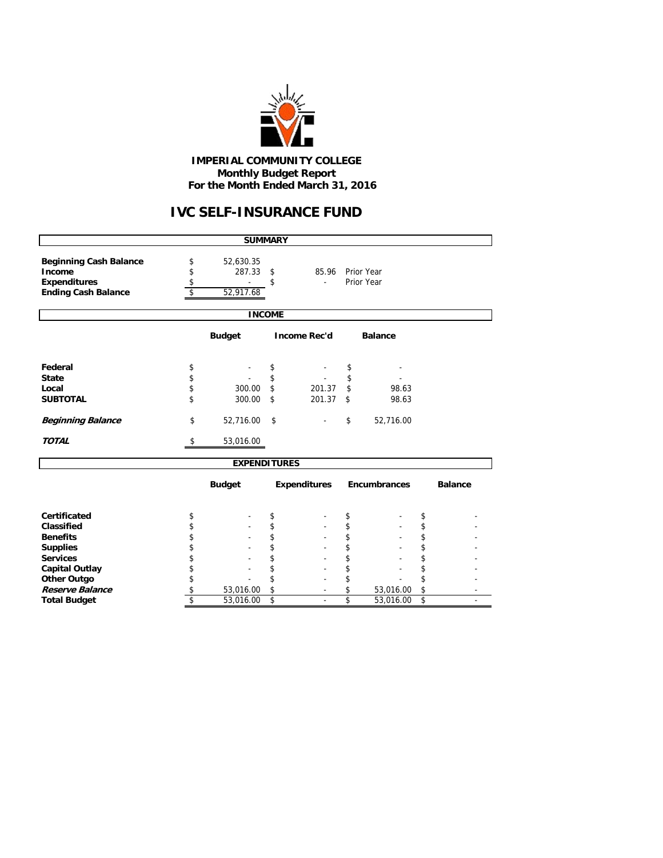

#### **IMPERIAL COMMUNITY COLLEGE Monthly Budget Report For the Month Ended March 31, 2016**

# **IVC SELF-INSURANCE FUND**

|                                                                                              |                | <b>SUMMARY</b>                   |               |                     |          |                          |          |                |
|----------------------------------------------------------------------------------------------|----------------|----------------------------------|---------------|---------------------|----------|--------------------------|----------|----------------|
| <b>Beginning Cash Balance</b><br>Income<br><b>Expenditures</b><br><b>Ending Cash Balance</b> | \$<br>\$<br>\$ | 52,630.35<br>287.33<br>52,917.68 | \$<br>\$      | 85.96               |          | Prior Year<br>Prior Year |          |                |
|                                                                                              |                |                                  | <b>INCOME</b> |                     |          |                          |          |                |
|                                                                                              |                | <b>Budget</b>                    |               | <b>Income Rec'd</b> |          | <b>Balance</b>           |          |                |
| Federal<br><b>State</b>                                                                      | \$<br>\$       |                                  | \$<br>\$      |                     | \$<br>\$ |                          |          |                |
| Local<br><b>SUBTOTAL</b>                                                                     | \$<br>\$       | 300.00<br>300.00                 | \$<br>\$      | 201.37<br>201.37    | \$<br>\$ | 98.63<br>98.63           |          |                |
| <b>Beginning Balance</b>                                                                     | \$             | 52,716.00                        | \$            |                     | \$       | 52,716.00                |          |                |
| <b>TOTAL</b>                                                                                 | \$             | 53,016.00                        |               |                     |          |                          |          |                |
|                                                                                              |                | <b>EXPENDITURES</b>              |               |                     |          |                          |          |                |
|                                                                                              |                | <b>Budget</b>                    |               | <b>Expenditures</b> |          | <b>Encumbrances</b>      |          | <b>Balance</b> |
| Certificated                                                                                 | \$             |                                  | \$            |                     | \$       |                          | \$       |                |
| Classified                                                                                   | \$             |                                  | \$            |                     | \$       |                          | \$       |                |
| <b>Benefits</b>                                                                              | \$             |                                  | \$            |                     | \$       |                          | \$       |                |
| <b>Supplies</b><br><b>Services</b>                                                           | \$             |                                  | \$            |                     | \$       |                          | \$       |                |
| <b>Capital Outlay</b>                                                                        | \$<br>\$       |                                  |               |                     | \$<br>\$ |                          | \$<br>\$ |                |
| <b>Other Outgo</b>                                                                           | \$             |                                  | \$            |                     | \$       |                          | \$       |                |
| <b>Reserve Balance</b>                                                                       | \$             | 53,016.00                        | \$            |                     | \$       | 53,016.00                | \$       |                |
| <b>Total Budget</b>                                                                          | \$             | 53,016.00                        | \$            |                     | \$       | 53,016.00                | \$       |                |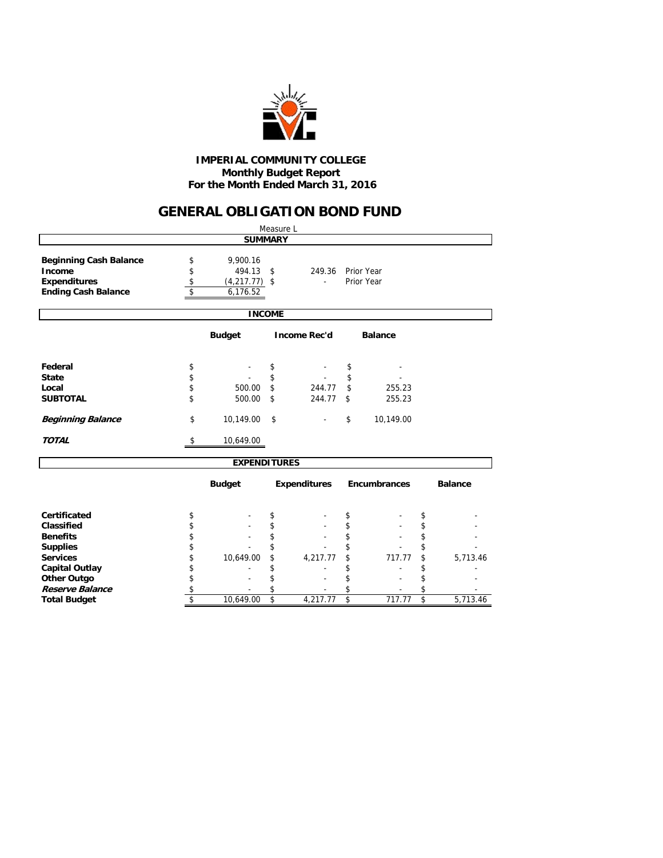

#### **Monthly Budget Report For the Month Ended March 31, 2016 IMPERIAL COMMUNITY COLLEGE**

## **GENERAL OBLIGATION BOND FUND**

|                                                                                              |                      |                                                   |                         | Measure L           |    |                          |                         |                |  |  |
|----------------------------------------------------------------------------------------------|----------------------|---------------------------------------------------|-------------------------|---------------------|----|--------------------------|-------------------------|----------------|--|--|
|                                                                                              |                      | <b>SUMMARY</b>                                    |                         |                     |    |                          |                         |                |  |  |
| <b>Beginning Cash Balance</b><br>Income<br><b>Expenditures</b><br><b>Ending Cash Balance</b> | \$<br>\$<br>\$<br>\$ | 9,900.16<br>494.13<br>$(4,217.77)$ \$<br>6,176.52 | \$                      | 249.36<br>ä,        |    | Prior Year<br>Prior Year |                         |                |  |  |
|                                                                                              |                      | <b>INCOME</b>                                     |                         |                     |    |                          |                         |                |  |  |
| <b>Budget</b><br><b>Income Rec'd</b><br><b>Balance</b>                                       |                      |                                                   |                         |                     |    |                          |                         |                |  |  |
| Federal                                                                                      | \$                   |                                                   | \$                      |                     | \$ |                          |                         |                |  |  |
| <b>State</b>                                                                                 | \$                   |                                                   | \$                      |                     | \$ |                          |                         |                |  |  |
| Local                                                                                        | \$                   | 500.00                                            | \$                      | 244.77              | \$ | 255.23                   |                         |                |  |  |
| <b>SUBTOTAL</b>                                                                              | \$                   | 500.00                                            | \$                      | 244.77              | \$ | 255.23                   |                         |                |  |  |
| <b>Beginning Balance</b>                                                                     | \$                   | 10,149.00                                         | \$                      |                     | \$ | 10,149.00                |                         |                |  |  |
| <b>TOTAL</b>                                                                                 | \$                   | 10,649.00                                         |                         |                     |    |                          |                         |                |  |  |
|                                                                                              |                      | <b>EXPENDITURES</b>                               |                         |                     |    |                          |                         |                |  |  |
|                                                                                              |                      | <b>Budget</b>                                     |                         | <b>Expenditures</b> |    | <b>Encumbrances</b>      |                         | <b>Balance</b> |  |  |
| Certificated                                                                                 | \$                   |                                                   | \$                      |                     | \$ |                          | \$                      |                |  |  |
| Classified                                                                                   | \$                   |                                                   | \$                      |                     | \$ |                          | \$                      |                |  |  |
| <b>Benefits</b>                                                                              | \$                   |                                                   | \$                      |                     | \$ |                          | \$                      |                |  |  |
| <b>Supplies</b>                                                                              | \$                   |                                                   |                         |                     | \$ |                          | \$                      |                |  |  |
| <b>Services</b>                                                                              | \$                   | 10,649.00                                         |                         | 4,217.77            | \$ | 717.77                   | \$                      | 5,713.46       |  |  |
| <b>Capital Outlay</b>                                                                        | \$                   |                                                   |                         |                     | \$ |                          | \$                      |                |  |  |
| <b>Other Outgo</b>                                                                           | \$                   |                                                   |                         |                     | \$ |                          | \$                      |                |  |  |
| Reserve Balance                                                                              | \$                   |                                                   | \$                      |                     | \$ |                          | \$                      |                |  |  |
| <b>Total Budget</b>                                                                          | \$                   | 10,649.00                                         | $\overline{\mathsf{s}}$ | 4,217.77            | \$ | 717.77                   | $\overline{\mathsf{s}}$ | 5,713.46       |  |  |